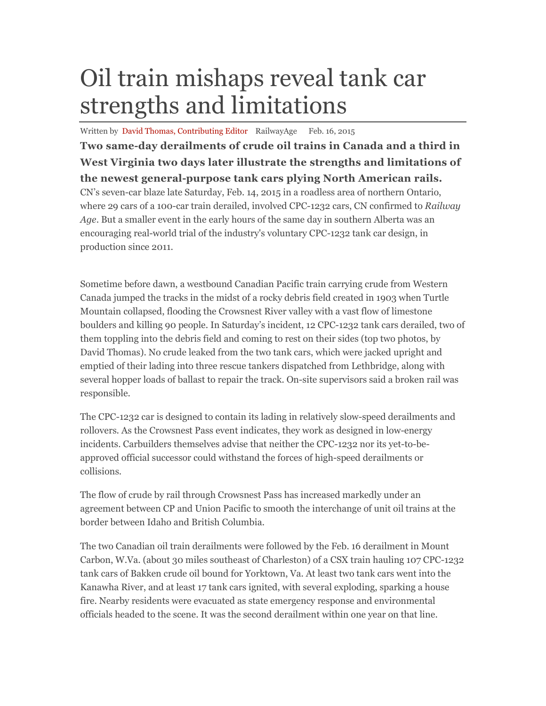## Oil train mishaps reveal tank car strengths and limitations

Written by David Thomas, Contributing Editor RailwayAge Feb. 16, 2015

**Two same-day derailments of crude oil trains in Canada and a third in West Virginia two days later illustrate the strengths and limitations of the newest general-purpose tank cars plying North American rails.**  CN's seven-car blaze late Saturday, Feb. 14, 2015 in a roadless area of northern Ontario, where 29 cars of a 100-car train derailed, involved CPC-1232 cars, CN confirmed to *Railway Age*. But a smaller event in the early hours of the same day in southern Alberta was an encouraging real-world trial of the industry's voluntary CPC-1232 tank car design, in production since 2011.

Sometime before dawn, a westbound Canadian Pacific train carrying crude from Western Canada jumped the tracks in the midst of a rocky debris field created in 1903 when Turtle Mountain collapsed, flooding the Crowsnest River valley with a vast flow of limestone boulders and killing 90 people. In Saturday's incident, 12 CPC-1232 tank cars derailed, two of them toppling into the debris field and coming to rest on their sides (top two photos, by David Thomas). No crude leaked from the two tank cars, which were jacked upright and emptied of their lading into three rescue tankers dispatched from Lethbridge, along with several hopper loads of ballast to repair the track. On-site supervisors said a broken rail was responsible.

The CPC-1232 car is designed to contain its lading in relatively slow-speed derailments and rollovers. As the Crowsnest Pass event indicates, they work as designed in low-energy incidents. Carbuilders themselves advise that neither the CPC-1232 nor its yet-to-beapproved official successor could withstand the forces of high-speed derailments or collisions.

The flow of crude by rail through Crowsnest Pass has increased markedly under an agreement between CP and Union Pacific to smooth the interchange of unit oil trains at the border between Idaho and British Columbia.

The two Canadian oil train derailments were followed by the Feb. 16 derailment in Mount Carbon, W.Va. (about 30 miles southeast of Charleston) of a CSX train hauling 107 CPC-1232 tank cars of Bakken crude oil bound for Yorktown, Va. At least two tank cars went into the Kanawha River, and at least 17 tank cars ignited, with several exploding, sparking a house fire. Nearby residents were evacuated as state emergency response and environmental officials headed to the scene. It was the second derailment within one year on that line.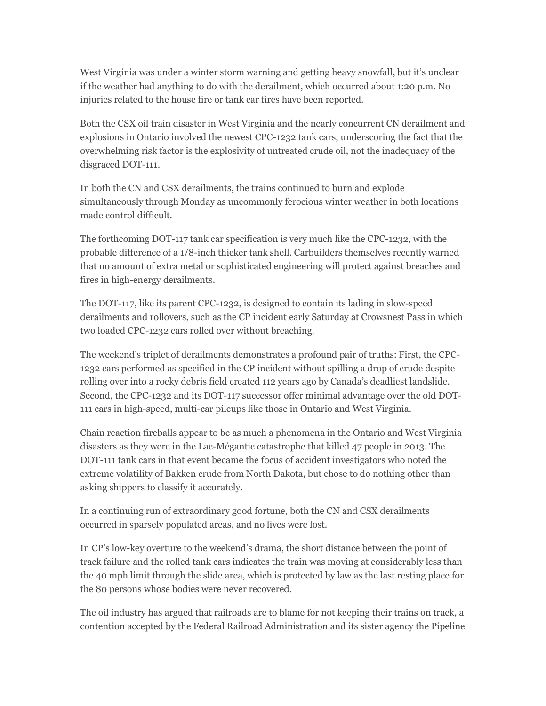West Virginia was under a winter storm warning and getting heavy snowfall, but it's unclear if the weather had anything to do with the derailment, which occurred about 1:20 p.m. No injuries related to the house fire or tank car fires have been reported.

Both the CSX oil train disaster in West Virginia and the nearly concurrent CN derailment and explosions in Ontario involved the newest CPC-1232 tank cars, underscoring the fact that the overwhelming risk factor is the explosivity of untreated crude oil, not the inadequacy of the disgraced DOT-111.

In both the CN and CSX derailments, the trains continued to burn and explode simultaneously through Monday as uncommonly ferocious winter weather in both locations made control difficult.

The forthcoming DOT-117 tank car specification is very much like the CPC-1232, with the probable difference of a 1/8-inch thicker tank shell. Carbuilders themselves recently warned that no amount of extra metal or sophisticated engineering will protect against breaches and fires in high-energy derailments.

The DOT-117, like its parent CPC-1232, is designed to contain its lading in slow-speed derailments and rollovers, such as the CP incident early Saturday at Crowsnest Pass in which two loaded CPC-1232 cars rolled over without breaching.

The weekend's triplet of derailments demonstrates a profound pair of truths: First, the CPC-1232 cars performed as specified in the CP incident without spilling a drop of crude despite rolling over into a rocky debris field created 112 years ago by Canada's deadliest landslide. Second, the CPC-1232 and its DOT-117 successor offer minimal advantage over the old DOT-111 cars in high-speed, multi-car pileups like those in Ontario and West Virginia.

Chain reaction fireballs appear to be as much a phenomena in the Ontario and West Virginia disasters as they were in the Lac-Mégantic catastrophe that killed 47 people in 2013. The DOT-111 tank cars in that event became the focus of accident investigators who noted the extreme volatility of Bakken crude from North Dakota, but chose to do nothing other than asking shippers to classify it accurately.

In a continuing run of extraordinary good fortune, both the CN and CSX derailments occurred in sparsely populated areas, and no lives were lost.

In CP's low-key overture to the weekend's drama, the short distance between the point of track failure and the rolled tank cars indicates the train was moving at considerably less than the 40 mph limit through the slide area, which is protected by law as the last resting place for the 80 persons whose bodies were never recovered.

The oil industry has argued that railroads are to blame for not keeping their trains on track, a contention accepted by the Federal Railroad Administration and its sister agency the Pipeline